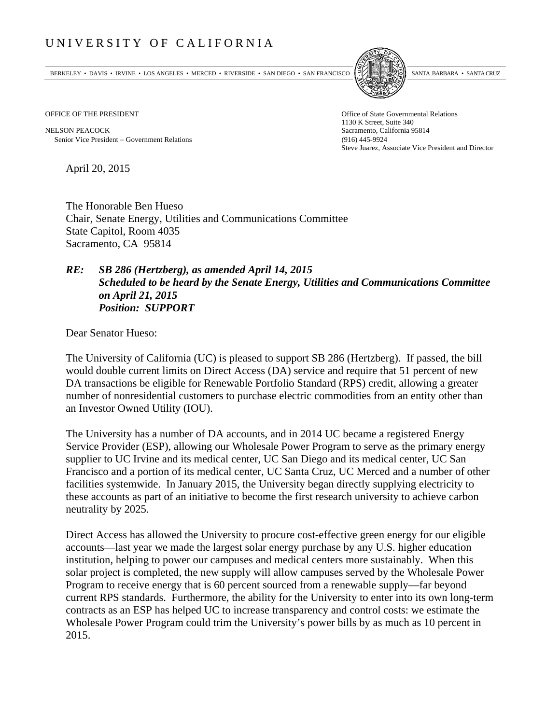## UNIVERSITY OF CALIFORNIA

BERKELEY • DAVIS • IRVINE • LOS ANGELES • MERCED • RIVERSIDE • SAN DIEGO • SAN FRANCISCO SANTA BARBARA • SANTA CRUZ



1130 K Street, Suite 340 Steve Juarez, Associate Vice President and Director

OFFICE OF THE PRESIDENT STATES OF THE PRESIDENT

NELSON PEACOCK Sacramento, California 95814 Senior Vice President Government Relations (916) 445-9924

April 20, 2015

The Honorable Ben Hueso Chair, Senate Energy, Utilities and Communications Committee State Capitol, Room 4035 Sacramento, CA 95814

## *RE: SB 286 (Hertzberg), as amended April 14, 2015 Scheduled to be heard by the Senate Energy, Utilities and Communications Committee on April 21, 2015 Position: SUPPORT*

Dear Senator Hueso:

The University of California (UC) is pleased to support SB 286 (Hertzberg). If passed, the bill would double current limits on Direct Access (DA) service and require that 51 percent of new DA transactions be eligible for Renewable Portfolio Standard (RPS) credit, allowing a greater number of nonresidential customers to purchase electric commodities from an entity other than an Investor Owned Utility (IOU).

The University has a number of DA accounts, and in 2014 UC became a registered Energy Service Provider (ESP), allowing our Wholesale Power Program to serve as the primary energy supplier to UC Irvine and its medical center, UC San Diego and its medical center, UC San Francisco and a portion of its medical center, UC Santa Cruz, UC Merced and a number of other facilities systemwide. In January 2015, the University began directly supplying electricity to these accounts as part of an initiative to become the first research university to achieve carbon neutrality by 2025.

Direct Access has allowed the University to procure cost-effective green energy for our eligible accounts—last year we made the largest solar energy purchase by any U.S. higher education institution, helping to power our campuses and medical centers more sustainably. When this solar project is completed, the new supply will allow campuses served by the Wholesale Power Program to receive energy that is 60 percent sourced from a renewable supply—far beyond current RPS standards. Furthermore, the ability for the University to enter into its own long-term contracts as an ESP has helped UC to increase transparency and control costs: we estimate the Wholesale Power Program could trim the University's power bills by as much as 10 percent in 2015.